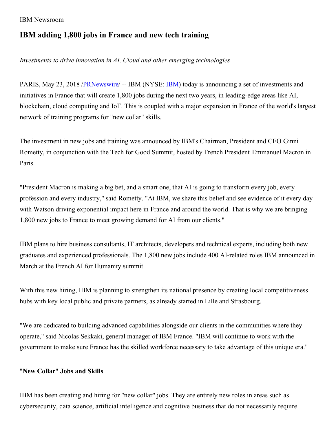IBM Newsroom

# **IBM adding 1,800 jobs in France and new tech training**

## *Investments to drive innovation in AI, Cloud and other emerging technologies*

PARIS, May 23, 2018 [/PRNewswire/](http://www.prnewswire.com/) -- IBM (NYSE: [IBM](http://www.ibm.com/investor)) today is announcing a set of investments and initiatives in France that will create 1,800 jobs during the next two years, in leading-edge areas like AI, blockchain, cloud computing and IoT. This is coupled with a major expansion in France of the world's largest network of training programs for "new collar" skills.

The investment in new jobs and training was announced by IBM's Chairman, President and CEO Ginni Rometty, in conjunction with the Tech for Good Summit, hosted by French President Emmanuel Macron in Paris.

"President Macron is making a big bet, and a smart one, that AI is going to transform every job, every profession and every industry," said Rometty. "At IBM, we share this belief and see evidence of it every day with Watson driving exponential impact here in France and around the world. That is why we are bringing 1,800 new jobs to France to meet growing demand for AI from our clients."

IBM plans to hire business consultants, IT architects, developers and technical experts, including both new graduates and experienced professionals. The 1,800 new jobs include 400 AI-related roles IBM announced in March at the French AI for Humanity summit.

With this new hiring, IBM is planning to strengthen its national presence by creating local competitiveness hubs with key local public and private partners, as already started in Lille and Strasbourg.

"We are dedicated to building advanced capabilities alongside our clients in the communities where they operate," said Nicolas Sekkaki, general manager of IBM France. "IBM will continue to work with the government to make sure France has the skilled workforce necessary to take advantage of this unique era."

### "**New Collar**" **Jobs and Skills**

IBM has been creating and hiring for "new collar" jobs. They are entirely new roles in areas such as cybersecurity, data science, artificial intelligence and cognitive business that do not necessarily require